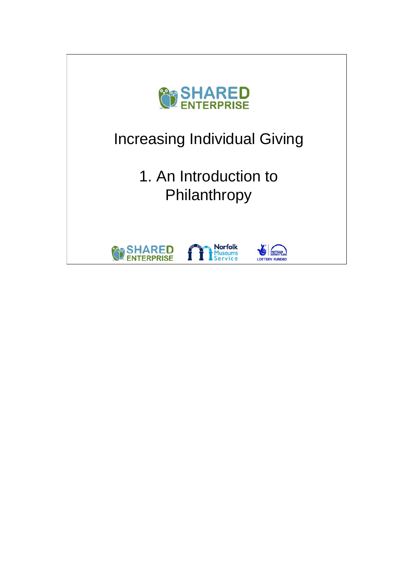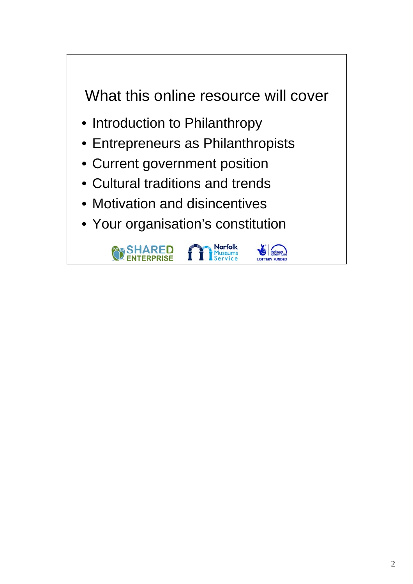## What this online resource will cover

- Introduction to Philanthropy
- Entrepreneurs as Philanthropists
- Current government position
- Cultural traditions and trends
- Motivation and disincentives
- Your organisation's constitution

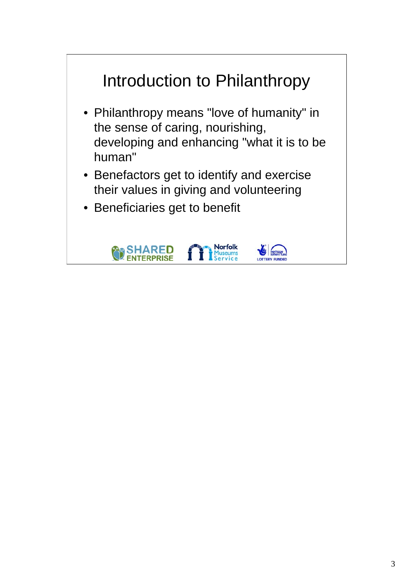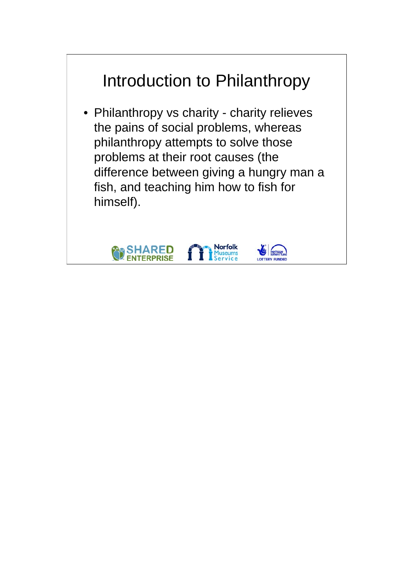## Introduction to Philanthropy

• Philanthropy vs charity - charity relieves the pains of social problems, whereas philanthropy attempts to solve those problems at their root causes (the difference between giving a hungry man a fish, and teaching him how to fish for himself).

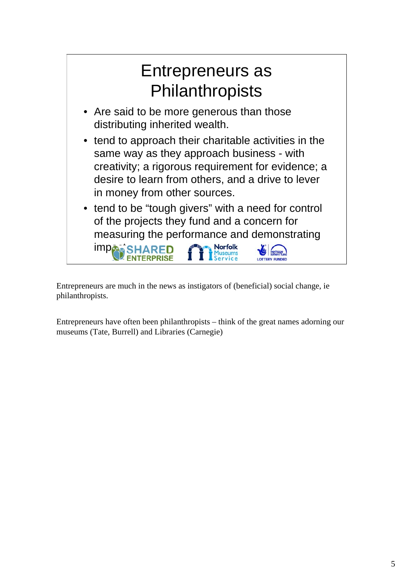

Entrepreneurs are much in the news as instigators of (beneficial) social change, ie philanthropists.

Entrepreneurs have often been philanthropists – think of the great names adorning our museums (Tate, Burrell) and Libraries (Carnegie)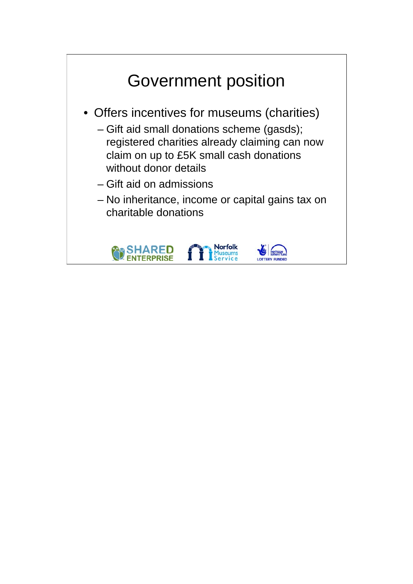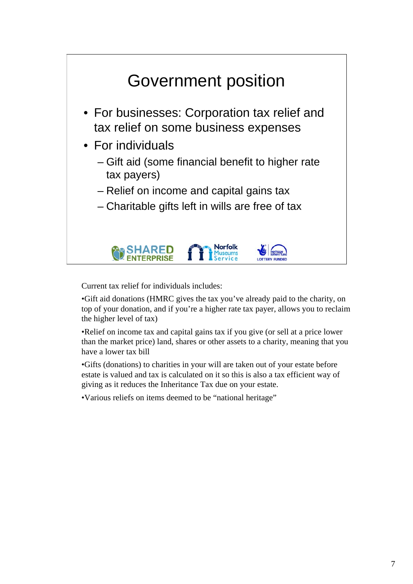

Current tax relief for individuals includes:

•Gift aid donations (HMRC gives the tax you've already paid to the charity, on top of your donation, and if you're a higher rate tax payer, allows you to reclaim the higher level of tax)

•Relief on income tax and capital gains tax if you give (or sell at a price lower than the market price) land, shares or other assets to a charity, meaning that you have a lower tax bill

•Gifts (donations) to charities in your will are taken out of your estate before estate is valued and tax is calculated on it so this is also a tax efficient way of giving as it reduces the Inheritance Tax due on your estate.

•Various reliefs on items deemed to be "national heritage"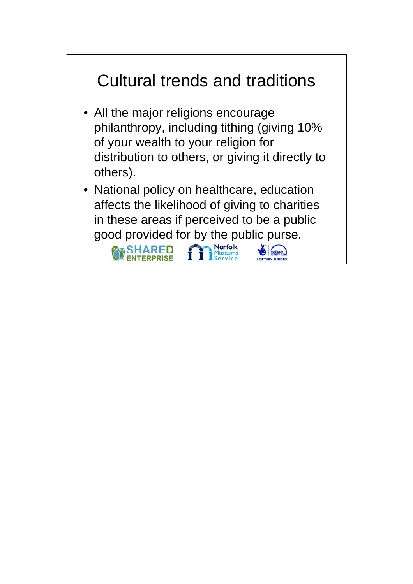

- All the major religions encourage philanthropy, including tithing (giving 10% of your wealth to your religion for distribution to others, or giving it directly to others).
- National policy on healthcare, education affects the likelihood of giving to charities in these areas if perceived to be a public good provided for by the public purse.

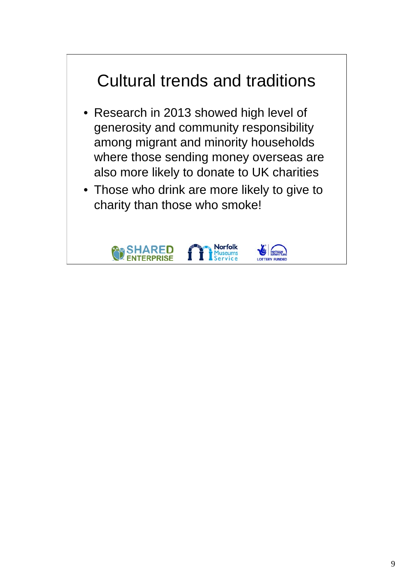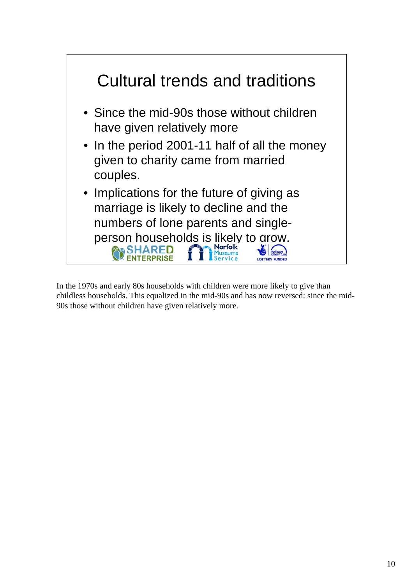

In the 1970s and early 80s households with children were more likely to give than childless households. This equalized in the mid-90s and has now reversed: since the mid-90s those without children have given relatively more.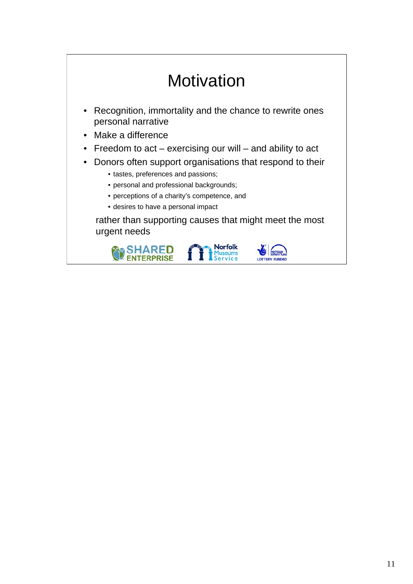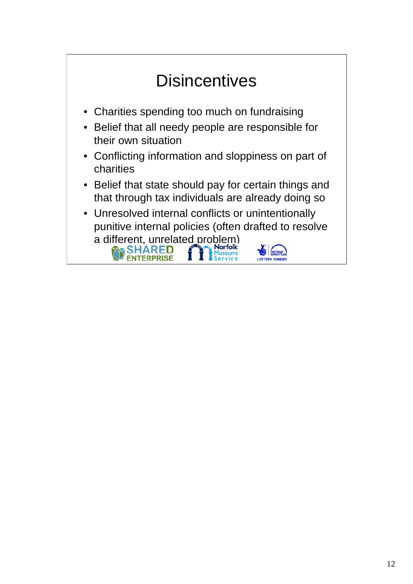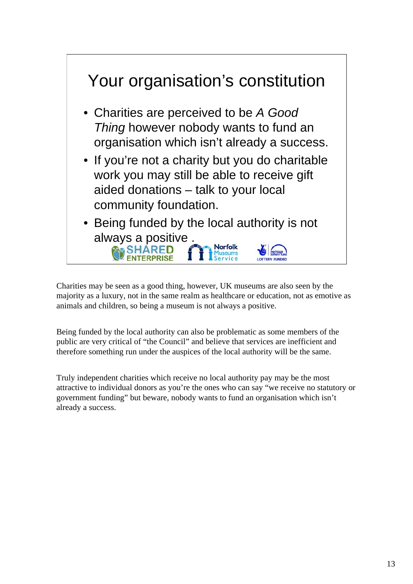

Charities may be seen as a good thing, however, UK museums are also seen by the majority as a luxury, not in the same realm as healthcare or education, not as emotive as animals and children, so being a museum is not always a positive.

Being funded by the local authority can also be problematic as some members of the public are very critical of "the Council" and believe that services are inefficient and therefore something run under the auspices of the local authority will be the same.

Truly independent charities which receive no local authority pay may be the most attractive to individual donors as you're the ones who can say "we receive no statutory or government funding" but beware, nobody wants to fund an organisation which isn't already a success.